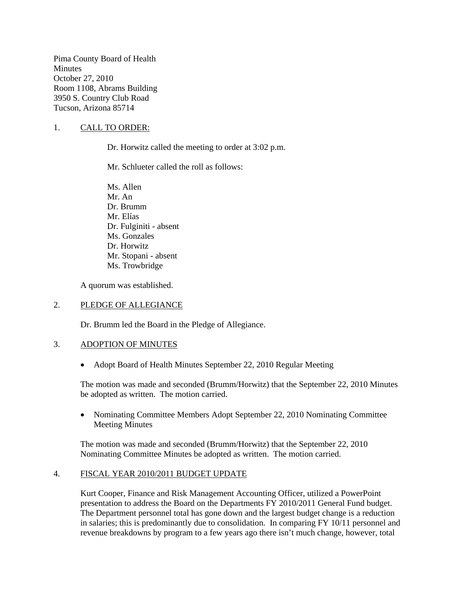Pima County Board of Health **Minutes** October 27, 2010 Room 1108, Abrams Building 3950 S. Country Club Road Tucson, Arizona 85714

### 1. CALL TO ORDER:

Dr. Horwitz called the meeting to order at 3:02 p.m.

Mr. Schlueter called the roll as follows:

Ms. Allen Mr. An Dr. Brumm Mr. Elías Dr. Fulginiti - absent Ms. Gonzales Dr. Horwitz Mr. Stopani - absent Ms. Trowbridge

A quorum was established.

#### 2. PLEDGE OF ALLEGIANCE

Dr. Brumm led the Board in the Pledge of Allegiance.

#### 3. ADOPTION OF MINUTES

• Adopt Board of Health Minutes September 22, 2010 Regular Meeting

The motion was made and seconded (Brumm/Horwitz) that the September 22, 2010 Minutes be adopted as written. The motion carried.

• Nominating Committee Members Adopt September 22, 2010 Nominating Committee Meeting Minutes

The motion was made and seconded (Brumm/Horwitz) that the September 22, 2010 Nominating Committee Minutes be adopted as written. The motion carried.

#### 4. FISCAL YEAR 2010/2011 BUDGET UPDATE

Kurt Cooper, Finance and Risk Management Accounting Officer, utilized a PowerPoint presentation to address the Board on the Departments FY 2010/2011 General Fund budget. The Department personnel total has gone down and the largest budget change is a reduction in salaries; this is predominantly due to consolidation. In comparing FY 10/11 personnel and revenue breakdowns by program to a few years ago there isn't much change, however, total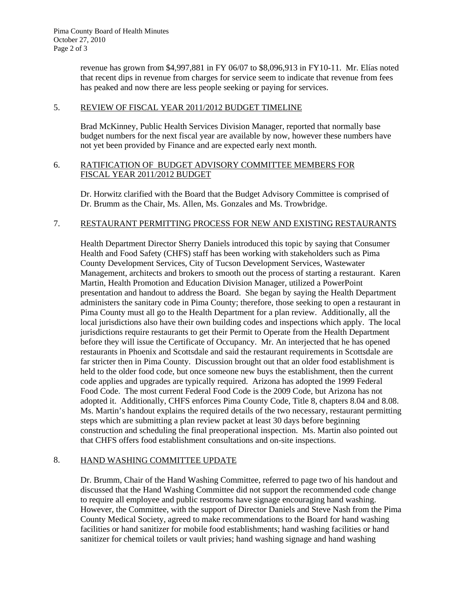revenue has grown from \$4,997,881 in FY 06/07 to \$8,096,913 in FY10-11. Mr. Elías noted that recent dips in revenue from charges for service seem to indicate that revenue from fees has peaked and now there are less people seeking or paying for services.

# 5. REVIEW OF FISCAL YEAR 2011/2012 BUDGET TIMELINE

Brad McKinney, Public Health Services Division Manager, reported that normally base budget numbers for the next fiscal year are available by now, however these numbers have not yet been provided by Finance and are expected early next month.

### 6. RATIFICATION OF BUDGET ADVISORY COMMITTEE MEMBERS FOR FISCAL YEAR 2011/2012 BUDGET

Dr. Horwitz clarified with the Board that the Budget Advisory Committee is comprised of Dr. Brumm as the Chair, Ms. Allen, Ms. Gonzales and Ms. Trowbridge.

# 7. RESTAURANT PERMITTING PROCESS FOR NEW AND EXISTING RESTAURANTS

Health Department Director Sherry Daniels introduced this topic by saying that Consumer Health and Food Safety (CHFS) staff has been working with stakeholders such as Pima County Development Services, City of Tucson Development Services, Wastewater Management, architects and brokers to smooth out the process of starting a restaurant. Karen Martin, Health Promotion and Education Division Manager, utilized a PowerPoint presentation and handout to address the Board. She began by saying the Health Department administers the sanitary code in Pima County; therefore, those seeking to open a restaurant in Pima County must all go to the Health Department for a plan review. Additionally, all the local jurisdictions also have their own building codes and inspections which apply. The local jurisdictions require restaurants to get their Permit to Operate from the Health Department before they will issue the Certificate of Occupancy. Mr. An interjected that he has opened restaurants in Phoenix and Scottsdale and said the restaurant requirements in Scottsdale are far stricter then in Pima County. Discussion brought out that an older food establishment is held to the older food code, but once someone new buys the establishment, then the current code applies and upgrades are typically required. Arizona has adopted the 1999 Federal Food Code. The most current Federal Food Code is the 2009 Code, but Arizona has not adopted it. Additionally, CHFS enforces Pima County Code, Title 8, chapters 8.04 and 8.08. Ms. Martin's handout explains the required details of the two necessary, restaurant permitting steps which are submitting a plan review packet at least 30 days before beginning construction and scheduling the final preoperational inspection. Ms. Martin also pointed out that CHFS offers food establishment consultations and on-site inspections.

# 8. HAND WASHING COMMITTEE UPDATE

Dr. Brumm, Chair of the Hand Washing Committee, referred to page two of his handout and discussed that the Hand Washing Committee did not support the recommended code change to require all employee and public restrooms have signage encouraging hand washing. However, the Committee, with the support of Director Daniels and Steve Nash from the Pima County Medical Society, agreed to make recommendations to the Board for hand washing facilities or hand sanitizer for mobile food establishments; hand washing facilities or hand sanitizer for chemical toilets or vault privies; hand washing signage and hand washing